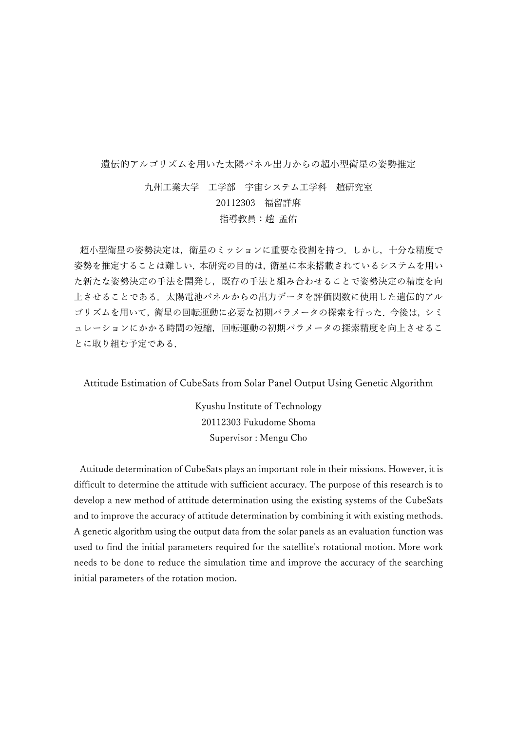## 遺伝的アルゴリズムを用いた太陽パネル出力からの超小型衛星の姿勢推定

九州工業大学 工学部 宇宙システム工学科 趙研究室 20112303 福留詳麻 指導教員:趙 孟佑

超小型衛星の姿勢決定は,衛星のミッションに重要な役割を持つ.しかし,十分な精度で 姿勢を推定することは難しい.本研究の目的は,衛星に本来搭載されているシステムを用い た新たな姿勢決定の手法を開発し,既存の手法と組み合わせることで姿勢決定の精度を向 上させることである.太陽電池パネルからの出力データを評価関数に使用した遺伝的アル ゴリズムを用いて,衛星の回転運動に必要な初期パラメータの探索を行った.今後は,シミ ュレーションにかかる時間の短縮,回転運動の初期パラメータの探索精度を向上させるこ とに取り組む予定である.

Attitude Estimation of CubeSats from Solar Panel Output Using Genetic Algorithm

Kyushu Institute of Technology 20112303 Fukudome Shoma Supervisor : Mengu Cho

Attitude determination of CubeSats plays an important role in their missions. However, it is difficult to determine the attitude with sufficient accuracy. The purpose of this research is to develop a new method of attitude determination using the existing systems of the CubeSats and to improve the accuracy of attitude determination by combining it with existing methods. A genetic algorithm using the output data from the solar panels as an evaluation function was used to find the initial parameters required for the satellite's rotational motion. More work needs to be done to reduce the simulation time and improve the accuracy of the searching initial parameters of the rotation motion.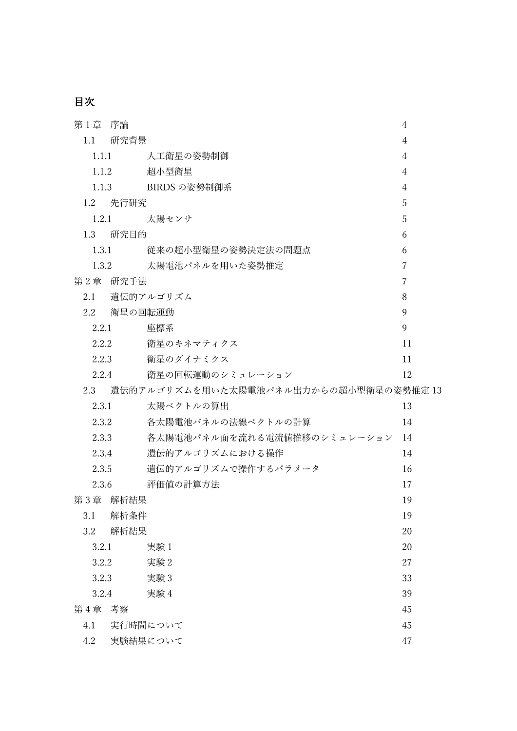目次

| 第1章                                          | 序論       |                                | 4              |  |
|----------------------------------------------|----------|--------------------------------|----------------|--|
| 1.1                                          | 研究背景     |                                | $\overline{4}$ |  |
|                                              | 1.1.1    | 人工衛星の姿勢制御                      | $\overline{4}$ |  |
|                                              | 1.1.2    | 超小型衛星                          | $\overline{4}$ |  |
|                                              | 1.1.3    | BIRDS の姿勢制御系                   | $\overline{4}$ |  |
| 1.2                                          | 先行研究     |                                | 5              |  |
|                                              | 1.2.1    | 太陽センサ                          | 5              |  |
| 1.3                                          | 研究目的     |                                | 6              |  |
|                                              | 1.3.1    | 従来の超小型衛星の姿勢決定法の問題点             | 6              |  |
|                                              | 1.3.2    | 太陽電池パネルを用いた姿勢推定                | $\overline{7}$ |  |
| 第2章                                          | 研究手法     |                                | $\overline{7}$ |  |
| 2.1                                          |          | 遺伝的アルゴリズム                      | 8              |  |
| 2.2                                          | 衛星の回転運動  |                                | 9              |  |
|                                              | 2.2.1    | 座標系                            | 9              |  |
|                                              | 2.2.2    | 衛星のキネマティクス                     | 11             |  |
| 2.2.3                                        |          | 衛星のダイナミクス                      | 11             |  |
| 2.2.4                                        |          | 衛星の回転運動のシミュレーション               | 12             |  |
| 遺伝的アルゴリズムを用いた太陽電池パネル出力からの超小型衛星の姿勢推定13<br>2.3 |          |                                |                |  |
|                                              | 2.3.1    | 太陽ベクトルの算出                      | 13             |  |
|                                              | 2.3.2    | 各太陽電池パネルの法線ベクトルの計算             | 14             |  |
| 2.3.3                                        |          | 各太陽電池パネル面を流れる電流値推移のシミュレーション 14 |                |  |
|                                              | 2.3.4    | 遺伝的アルゴリズムにおける操作                | 14             |  |
|                                              | 2.3.5    | 遺伝的アルゴリズムで操作するパラメータ            | 16             |  |
|                                              | 2.3.6    | 評価値の計算方法                       | 17             |  |
|                                              | 第3章 解析結果 |                                | 19             |  |
| 3.1                                          | 解析条件     |                                | 19             |  |
| 3.2                                          | 解析結果     |                                | 20             |  |
|                                              | 3.2.1    | 実験1                            | 20             |  |
|                                              | 3.2.2    | 実験2                            | 27             |  |
|                                              | 3.2.3    | 実験3                            | 33             |  |
| 3.2.4                                        |          | 実験 4                           | 39             |  |
| 第4章                                          | 考察       |                                | 45             |  |
| 4.1                                          |          | 実行時間について                       | 45             |  |
| 4.2                                          |          | 実験結果について                       | 47             |  |